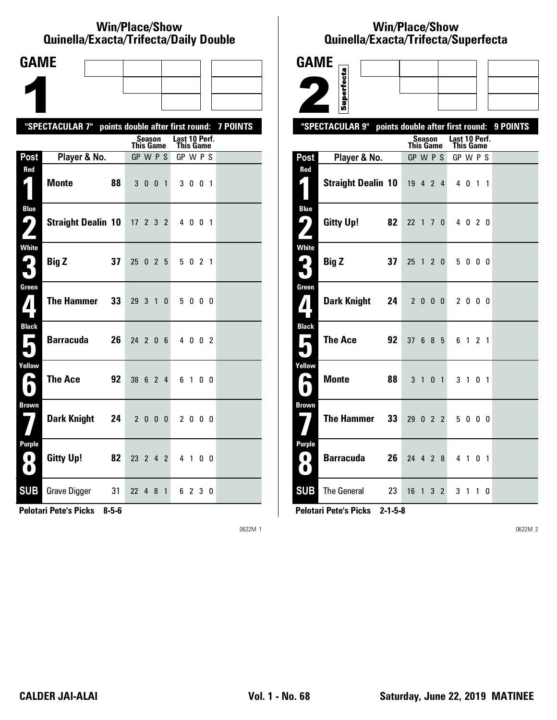#### **Win/Place/Show Qui nel la/Exacta/Tri fecta/Daily Dou ble**

| <b>GAME</b>                              |                                                           |    |            |                            |                |               |           |                |  |
|------------------------------------------|-----------------------------------------------------------|----|------------|----------------------------|----------------|---------------|-----------|----------------|--|
|                                          |                                                           |    |            |                            |                |               |           |                |  |
|                                          |                                                           |    |            |                            |                |               |           |                |  |
|                                          | "SPECTACULAR 7" points double after first round: 7 POINTS |    |            |                            |                |               |           |                |  |
|                                          |                                                           |    |            | Season<br><b>This Game</b> |                | Last 10 Perf. | This Game |                |  |
| Post                                     | Player & No.                                              |    |            | GP W P S                   |                |               | GP W P S  |                |  |
| Red                                      | <b>Monte</b>                                              | 88 |            | 3 0 0                      | $\overline{1}$ |               | 3 0 0 1   |                |  |
| <b>Blue</b><br>9<br>Z                    | <b>Straight Dealin 10</b>                                 |    | $17$ 2 3 2 |                            |                |               | 4 0 0 1   |                |  |
| White<br>3                               | <b>Big Z</b>                                              | 37 | 25         | $0 \t2 \t5$                |                |               | 5 0 2 1   |                |  |
| Green<br>$\bf{Z}$                        | <b>The Hammer</b>                                         | 33 | 29 3 1     |                            | 0              |               | 5000      |                |  |
| <b>Black</b><br>$\overline{\phantom{a}}$ | Barracuda                                                 | 26 | 24 2 0 6   |                            |                |               | 4 0 0 2   |                |  |
| Yellow<br>H                              | The Ace                                                   | 92 | 38 6 2 4   |                            |                |               | 61        | 0 <sub>0</sub> |  |
| <b>Brown</b>                             | Dark Knight                                               | 24 |            | 2000                       |                |               | 2 0 0 0   |                |  |
| <b>Purple</b><br>$\left( 0\right)$<br>O  | <b>Gitty Up!</b>                                          | 82 | 23 2 4 2   |                            |                |               | 4 1 0 0   |                |  |
| <b>SUB</b>                               | Grave Digger 31                                           |    | 22 4 8 1   |                            |                |               | 6 2 3 0   |                |  |

**Pelotari Pete's Picks 8-5-6**

0622M 1

# **Win/Place/Show Qui nel la/Exacta/Tri fecta/Super fecta**

| <b>GAME</b>                             |                                                  |             |                |               |                          |          |
|-----------------------------------------|--------------------------------------------------|-------------|----------------|---------------|--------------------------|----------|
|                                         | Superfecta                                       |             |                |               |                          |          |
|                                         |                                                  |             |                |               |                          |          |
|                                         |                                                  |             |                |               |                          |          |
|                                         | "SPECTACULAR 9" points double after first round: | Season      |                | Last 10 Perf. |                          | 9 POINTS |
|                                         |                                                  | This Game   |                | This Game     |                          |          |
| Post<br>Red                             | Player & No.                                     | GP W P S    |                | GP W P S      |                          |          |
|                                         | <b>Straight Dealin 10</b>                        | 19 4 2 4    |                | 4 0 1         | $\overline{\phantom{a}}$ |          |
| <b>Blue</b><br>ر ما                     | <b>Gitty Up!</b><br>82                           | 22 1 7 0    |                | 4 0 2 0       |                          |          |
| <b>White</b><br>$\overline{\bullet}$    | <b>Big Z</b><br>37                               | 25<br>1 2 0 |                | 5000          |                          |          |
| Green<br>$\mathbf{Z}$                   | <b>Dark Knight</b><br>24                         | 2000        |                | 2 0 0 0       |                          |          |
| <b>Black</b><br>Е                       | <b>The Ace</b><br>92                             | 37 6 8 5    |                | 61            | 2 <sub>1</sub>           |          |
| Yellow<br>►                             | <b>Monte</b><br>88                               | 3 1         | 0 <sub>1</sub> | 3 1           | 0 <sub>1</sub>           |          |
| <b>Brown</b>                            | <b>The Hammer</b><br>33                          | 29 0 2 2    |                | 5000          |                          |          |
| <b>Purple</b><br>$\bullet$<br>$\bullet$ | <b>Barracuda</b><br>26                           | 24 4 2 8    |                | 4 1           | 0 <sub>1</sub>           |          |
| <b>SUB</b>                              | <b>The General</b><br>23                         | $16$ 1 3 2  |                | 3 1 1 0       |                          |          |

**Pelotari Pete's Picks 2-1-5-8**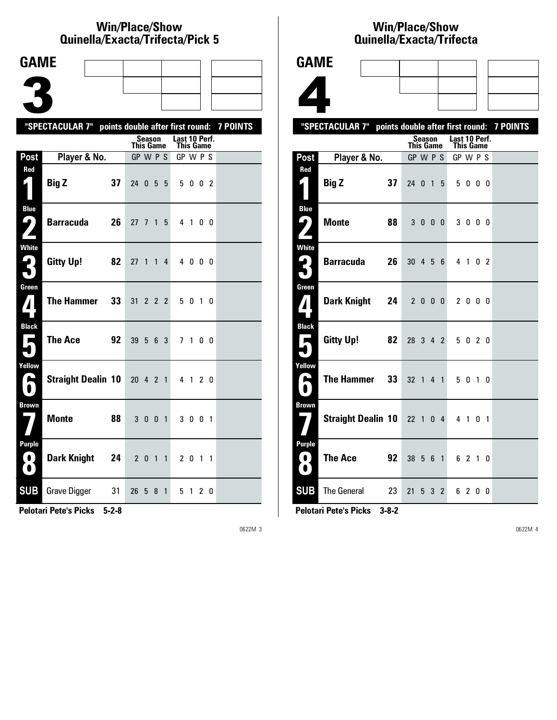#### **Win/Place/Show Quinella/Exacta/Trifecta/Pick 5**

| <b>GAME</b>                                                                   |                                                           |    |                  |                |                |                |               |                |                |  |
|-------------------------------------------------------------------------------|-----------------------------------------------------------|----|------------------|----------------|----------------|----------------|---------------|----------------|----------------|--|
|                                                                               |                                                           |    |                  |                |                |                |               |                |                |  |
|                                                                               |                                                           |    |                  |                |                |                |               |                |                |  |
|                                                                               |                                                           |    |                  |                |                |                |               |                |                |  |
|                                                                               | "SPECTACULAR 7" points double after first round: 7 POINTS |    |                  | <b>Season</b>  |                |                | Last 10 Perf. |                |                |  |
|                                                                               |                                                           |    | <b>This Game</b> |                |                |                | This Game     |                |                |  |
| Post<br>Red                                                                   | Player & No.                                              |    | $GP$ W $P$ S     |                |                |                | GP W P S      |                |                |  |
| 1                                                                             | <b>Big Z</b>                                              | 37 | 24 0 5 5         |                |                |                |               | 5 0 0 2        |                |  |
| <b>Blue</b><br><u>ر با</u>                                                    | Barracuda                                                 | 26 | 27 7             |                | $\overline{1}$ | 5              |               | 4 1            | 0 0            |  |
| White<br>3                                                                    | <b>Gitty Up!</b>                                          | 82 | 27               | $\overline{1}$ | $\mathbf{1}$   | 4              |               | 4000           |                |  |
| Green<br>$\mathbf{Z}$                                                         | <b>The Hammer</b>                                         | 33 | 31               |                | $2 \t2 \t2$    |                |               | 5 0 1 0        |                |  |
| <b>Black</b><br>$\blacksquare$                                                | <b>The Ace</b>                                            | 92 | 39               | 5              | 6 3            |                |               | 7 <sub>1</sub> | 0 <sub>0</sub> |  |
| Yellow<br>A                                                                   | <b>Straight Dealin 10</b>                                 |    | 20 4 2 1         |                |                |                |               | 4 1            | 2 <sub>0</sub> |  |
| <b>Brown</b>                                                                  | <b>Monte</b>                                              | 88 |                  | 3 0 0 1        |                |                |               | 3 0 0 1        |                |  |
| <b>Purple</b><br>$\left( \begin{array}{c} 0 \end{array} \right)$<br>$\bullet$ | <b>Dark Knight</b>                                        | 24 |                  | 2 0 1 1        |                |                |               | 2 0 1 1        |                |  |
| <b>SUB</b>                                                                    | Grave Digger                                              | 31 | 26 5 8           |                |                | $\overline{1}$ |               | 5 1 2 0        |                |  |

**Pelotari Pete's Picks 5-2-8**

0622M 3

**Brown**

**Pur ple**

#### **Win/Place/Show Qui nel la/Exacta/Tri fecta**



**7 Straight Dealin 10** 22 1 0 4 4 1 0 1

**8 The Ace** 92 38 5 6 1 6 2 1 0

**SUB** The General 23 21 5 3 2 6 2 0 0

**Pelotari Pete's Picks 3-8-2**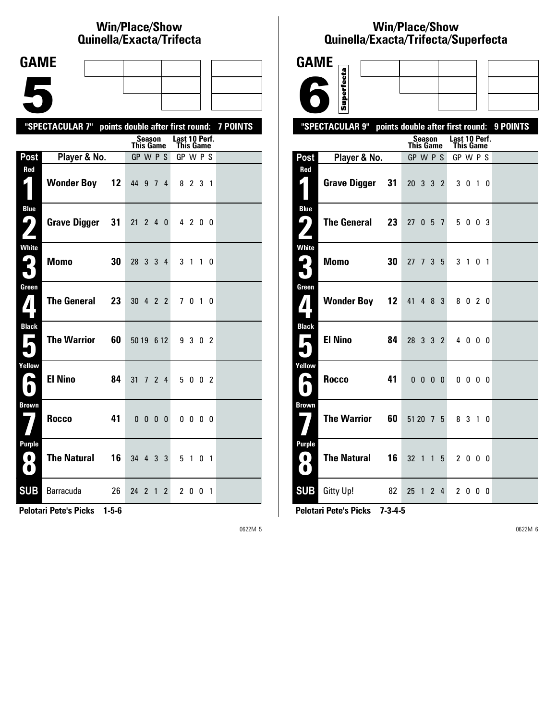# **Win/Place/Show Qui nel la/Exacta/Tri fecta**

| <b>GAME</b>                            |                                                           |                      |                              |        |                |                |                       |              |   |           |  |
|----------------------------------------|-----------------------------------------------------------|----------------------|------------------------------|--------|----------------|----------------|-----------------------|--------------|---|-----------|--|
|                                        |                                                           |                      |                              |        |                |                |                       |              |   |           |  |
|                                        |                                                           |                      |                              |        |                |                |                       |              |   |           |  |
|                                        |                                                           |                      |                              |        |                |                |                       |              |   |           |  |
|                                        | "SPECTACULAR 7" points double after first round: 7 POINTS |                      |                              | Season |                |                | Last 10 Perf.         |              |   |           |  |
| Post                                   | Player & No.                                              |                      | <b>This Game</b><br>GP W P S |        |                |                | This Game<br>GP W P S |              |   |           |  |
| Red                                    |                                                           |                      |                              |        |                |                |                       |              |   |           |  |
| $\blacksquare$                         | <b>Wonder Boy</b>                                         | $12 \,$              | 44 9 7 4                     |        |                |                |                       | 8 2 3 1      |   |           |  |
| <b>Blue</b>                            |                                                           |                      |                              |        |                |                |                       |              |   |           |  |
| $\mathbf{\mathsf{L}}_{\bm{\ell}}$<br>Z | <b>Grave Digger</b>                                       | 31                   | $21 \t2 \t4 \t0$             |        |                |                |                       | 4 2 0 0      |   |           |  |
| <b>White</b>                           |                                                           |                      |                              |        |                |                |                       |              |   |           |  |
| 3                                      | <b>Momo</b>                                               | 30                   | 28 3 3 4                     |        |                |                |                       | 3 1          |   | $1\quad0$ |  |
| Green<br>$\mathbf{Z}$                  | <b>The General</b>                                        | 23                   | 30 4 2 2                     |        |                |                |                       | 7 0 1 0      |   |           |  |
|                                        |                                                           |                      |                              |        |                |                |                       |              |   |           |  |
| <b>Black</b><br>$\blacksquare$         | <b>The Warrior</b>                                        | 60                   | 50 19 6 12                   |        |                |                |                       | 9 3 0 2      |   |           |  |
|                                        |                                                           |                      |                              |        |                |                |                       |              |   |           |  |
| Yellow<br>N                            | <b>El Nino</b>                                            | 84                   |                              |        |                |                |                       |              |   |           |  |
|                                        |                                                           |                      | 31 7 2                       |        |                | $\overline{4}$ |                       | 5 0 0 2      |   |           |  |
| <b>Brown</b>                           |                                                           |                      |                              |        |                |                |                       |              |   |           |  |
|                                        | Rocco                                                     | 41                   | 0 <sub>0</sub>               |        |                | 0 <sub>0</sub> |                       | $0\,0\,0\,0$ |   |           |  |
| <b>Purple</b>                          |                                                           |                      |                              |        |                |                |                       |              |   |           |  |
| $\bullet$<br>$\bigcirc$                | <b>The Natural</b>                                        | 16                   | 34 4 3 3                     |        |                |                |                       | 5 1 0 1      |   |           |  |
| <b>SUB</b>                             | <b>Barracuda</b>                                          | 26                   | 24 <sub>2</sub>              |        | $\overline{1}$ | $\overline{2}$ | $\mathbf{2}^{\prime}$ | 0            | 0 | - 1       |  |
|                                        | .                                                         | $\sim$ $\sim$ $\sim$ |                              |        |                |                |                       |              |   |           |  |

**Pelotari Pete's Picks 1-5-6**

0622M 5

# **Win/Place/Show Qui nel la/Exacta/Tri fecta/Super fecta**

| <b>GAME</b>                                                                   |                     |    |                  |                        |     |                |                                   |              |    |                |                                           |
|-------------------------------------------------------------------------------|---------------------|----|------------------|------------------------|-----|----------------|-----------------------------------|--------------|----|----------------|-------------------------------------------|
|                                                                               | Superfecta          |    |                  |                        |     |                |                                   |              |    |                |                                           |
|                                                                               |                     |    |                  |                        |     |                |                                   |              |    |                |                                           |
|                                                                               | "SPECTACULAR 9"     |    |                  |                        |     |                |                                   |              |    |                | points double after first round: 9 POINTS |
|                                                                               |                     |    | <b>This Game</b> | Season                 |     |                | Last 10 Perf.<br><b>This Game</b> |              |    |                |                                           |
| Post                                                                          | Player & No.        |    | GP W P S         |                        |     |                | GP W P S                          |              |    |                |                                           |
| Red<br>L .                                                                    | <b>Grave Digger</b> | 31 | $20 \t3 \t3$     |                        |     | $\mathbf{2}$   | 3 <sub>0</sub>                    |              | 10 |                |                                           |
| <b>Blue</b><br>9)<br>$\mathbf{z}$                                             | <b>The General</b>  | 23 | 27 <sup>2</sup>  | 0                      | - 5 | $\overline{1}$ |                                   | 5 0 0 3      |    |                |                                           |
| <b>White</b><br>$\mathbf{G}_1$                                                | <b>Momo</b>         | 30 | $27 \t7 \t3$     |                        |     | 5              |                                   | $3 \quad 1$  | 0  | $\overline{1}$ |                                           |
| Green<br>$\boldsymbol{I}$                                                     | <b>Wonder Boy</b>   | 12 | 41               | 48                     |     | 3              |                                   | 8020         |    |                |                                           |
| <b>Black</b><br>П                                                             | <b>El Nino</b>      | 84 | 28 3 3           |                        |     | $\overline{2}$ |                                   | 4 0 0 0      |    |                |                                           |
| Yellow<br>œ                                                                   | Rocco               | 41 |                  | $0\quad 0\quad 0\quad$ |     | 0              |                                   | $0\,0\,0\,0$ |    |                |                                           |
| <b>Brown</b>                                                                  | <b>The Warrior</b>  | 60 | 51 20 7 5        |                        |     |                | 8 3                               |              |    | $1\quad0$      |                                           |
| <b>Purple</b><br>$\left( \begin{array}{c} 0 \end{array} \right)$<br>$\bullet$ | <b>The Natural</b>  | 16 | $32 \t1 \t1$     |                        |     | 5              |                                   | 2 0 0 0      |    |                |                                           |
| <b>SUB</b>                                                                    | Gitty Up!           | 82 | 25 1 2 4         |                        |     |                |                                   | 2000         |    |                |                                           |

**Pelotari Pete's Picks 7-3-4-5**